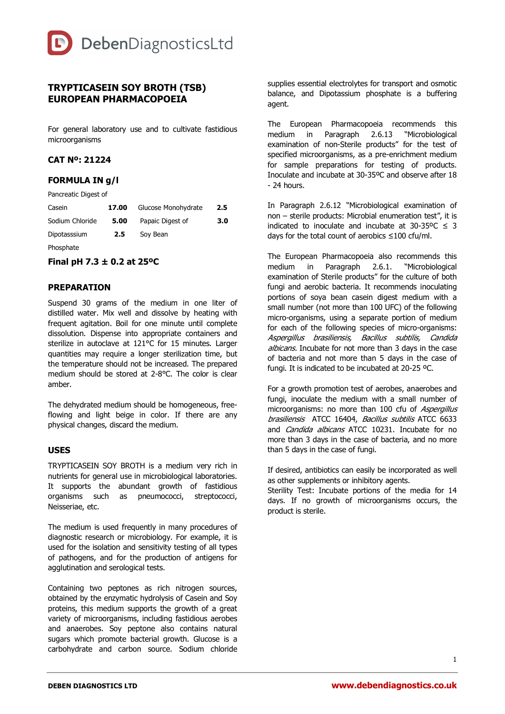

# **TRYPTICASEIN SOY BROTH (TSB) EUROPEAN PHARMACOPOEIA**

For general laboratory use and to cultivate fastidious microorganisms

#### **CAT Nº: 21224**

### **FORMULA IN g/l**

Pancreatic Digest of

| Casein          | 17.00 | Glucose Monohydrate | 2.5 |
|-----------------|-------|---------------------|-----|
| Sodium Chloride | 5.00  | Papaic Digest of    | 3.0 |
| Dipotasssium    | 2.5   | Soy Bean            |     |
| Phosphate       |       |                     |     |

#### **Final pH 7.3 ± 0.2 at 25ºC**

#### **PREPARATION**

Suspend 30 grams of the medium in one liter of distilled water. Mix well and dissolve by heating with frequent agitation. Boil for one minute until complete dissolution. Dispense into appropriate containers and sterilize in autoclave at 121°C for 15 minutes. Larger quantities may require a longer sterilization time, but the temperature should not be increased. The prepared medium should be stored at 2-8°C. The color is clear amber.

The dehydrated medium should be homogeneous, freeflowing and light beige in color. If there are any physical changes, discard the medium.

#### **USES**

TRYPTICASEIN SOY BROTH is a medium very rich in nutrients for general use in microbiological laboratories. It supports the abundant growth of fastidious organisms such as pneumococci, streptococci, Neisseriae, etc.

The medium is used frequently in many procedures of diagnostic research or microbiology. For example, it is used for the isolation and sensitivity testing of all types of pathogens, and for the production of antigens for agglutination and serological tests.

Containing two peptones as rich nitrogen sources, obtained by the enzymatic hydrolysis of Casein and Soy proteins, this medium supports the growth of a great variety of microorganisms, including fastidious aerobes and anaerobes. Soy peptone also contains natural sugars which promote bacterial growth. Glucose is a carbohydrate and carbon source. Sodium chloride

supplies essential electrolytes for transport and osmotic balance, and Dipotassium phosphate is a buffering agent.

The European Pharmacopoeia recommends this medium in Paragraph 2.6.13 "Microbiological examination of non-Sterile products" for the test of specified microorganisms, as a pre-enrichment medium for sample preparations for testing of products. Inoculate and incubate at 30-35ºC and observe after 18 - 24 hours.

In Paragraph 2.6.12 "Microbiological examination of non – sterile products: Microbial enumeration test", it is indicated to inoculate and incubate at 30-35°C  $\leq$  3 days for the total count of aerobics ≤100 cfu/ml.

The European Pharmacopoeia also recommends this medium in Paragraph 2.6.1. "Microbiological examination of Sterile products" for the culture of both fungi and aerobic bacteria. It recommends inoculating portions of soya bean casein digest medium with a small number (not more than 100 UFC) of the following micro-organisms, using a separate portion of medium for each of the following species of micro-organisms: Aspergillus brasiliensis, Bacillus subtilis, Candida albicans. Incubate for not more than 3 days in the case of bacteria and not more than 5 days in the case of fungi. It is indicated to be incubated at 20-25 ºC.

For a growth promotion test of aerobes, anaerobes and fungi, inoculate the medium with a small number of microorganisms: no more than 100 cfu of Aspergillus brasiliensis ATCC 16404, Bacillus subtilis ATCC 6633 and Candida albicans ATCC 10231. Incubate for no more than 3 days in the case of bacteria, and no more than 5 days in the case of fungi.

If desired, antibiotics can easily be incorporated as well as other supplements or inhibitory agents.

Sterility Test: Incubate portions of the media for 14 days. If no growth of microorganisms occurs, the product is sterile.